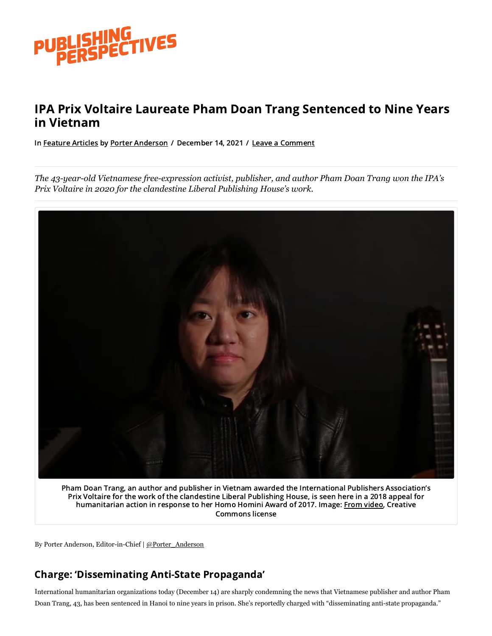

# IPA Prix Voltaire Laureate Pham Doan Trang Sentenced to Nine Years in Vietnam

In [Feature](https://publishingperspectives.com/category/features/) Articles by Porter [Anderson](https://publishingperspectives.com/author/porteranderson/) / December 14, 2021 / Leave a Comment

*The 43-year-old Vietnamese free-expression activist, publisher, and author Pham Doan Trang won the IPA's Prix Voltaire in 2020 for the clandestine Liberal Publishing House's work.*



Pham Doan Trang, an author and publisher in Vietnam awarded the International Publishers Association's Prix Voltaire for the work of the clandestine Liberal Publishing House, is seen here in a 2018 appeal for humanitarian action in response to her Homo Homini Award of 2017. Image: From [video,](https://youtu.be/8tnBP6lBSho) Creative Commons license

By Porter Anderson, Editor-in-Chief | [@Porter\\_Anderson](https://twitter.com/porter_anderson)

### Charge: 'Disseminating Anti-State Propaganda'

I nternational humanitarian organizations today (December 14) are sharply condemning the news that Vietnamese publisher and author Pham Doan Trang, 43, has been sentenced in Hanoi to nine years in prison. She's reportedly charged with "disseminating anti-state propaganda."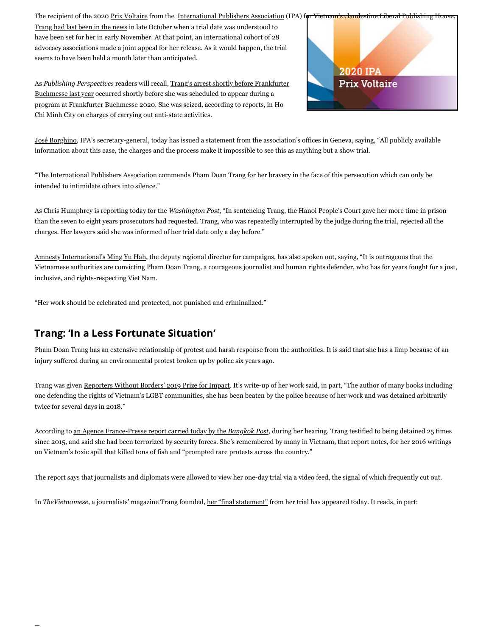The recipient of the 2020 [Prix Voltaire](https://publishingperspectives.com/tag/prix-voltaire/) from the [International Publishers Association](https://www.internationalpublishers.org/) (IPA) for Vietnam's clande

[Trang had last been in the news](https://publishingperspectives.com/2021/10/ipa-joins-international-demand-for-pham-doan-trangs-release-in-vietnam/) in late October when a trial date was understood to have been set for her in early November. At that point, an international cohort of 28 advocacy associations made a joint appeal for her release. As it would happen, the trial seems to have been held a month later than anticipated.

As *Publishing Perspectives* readers will recall, Trang's arrest shortly before Frankfurter [Buchmesse last year occurred shortly before she was scheduled to appear during a](https://publishingperspectives.com/2020/10/vietnamese-publishing-house-co-founder-arrested-ahead-of-frankfurt-appearance/) program at [Frankfurter Buchmesse](https://www.buchmesse.de/en) 2020. She was seized, according to reports, in Ho Chi Minh City on charges of carrying out anti-state activities.



[José Borghino,](https://publishingperspectives.com/tag/jose-borghino/) IPA's secretary-general, today has issued a statement from the association's offices in Geneva, saying, "All publicly available information about this case, the charges and the process make it impossible to see this as anything but a show trial.

"The International Publishers Association commends Pham Doan Trang for her bravery in the face of this persecution which can only be intended to intimidate others into silence."

As [Chris Humphrey is reporting today for the](https://www.washingtonpost.com/world/asia_pacific/vietnam-press-freedom-pham-doan-trang/2021/12/14/8ed0f008-57e4-11ec-8396-5552bef55c3c_story.html) *Washington Post*, "In sentencing Trang, the Hanoi People's Court gave her more time in prison than the seven to eight years prosecutors had requested. Trang, who was repeatedly interrupted by the judge during the trial, rejected all the charges. Her lawyers said she was informed of her trial date only a day before."

[Amnesty International's Ming Yu Hah,](https://www.amnesty.org/en/latest/news/2021/12/vietnam-pham-doan-trang-conviction/) the deputy regional director for campaigns, has also spoken out, saying, "It is outrageous that the Vietnamese authorities are convicting Pham Doan Trang, a courageous journalist and human rights defender, who has for years fought for a just, inclusive, and rights-respecting Viet Nam.

"Her work should be celebrated and protected, not punished and criminalized."

### Trang: 'In a Less Fortunate Situation'

Pham Doan Trang has an extensive relationship of protest and harsh response from the authorities. It is said that she has a limp because of an injury suffered during an environmental protest broken up by police six years ago.

Trang was given [Reporters Without Borders' 2019 Prize for Impact](https://rsf.org/en/news/journalists-saudi-arabia-vietnam-and-malta-honoured-rsfs-2019-press-freedom-awards). It's write-up of her work said, in part, "The author of many books including one defending the rights of Vietnam's LGBT communities, she has been beaten by the police because of her work and was detained arbitrarily twice for several days in 2018."

According to [an Agence France-Presse report carried today by the](https://www.bangkokpost.com/world/2231847/prominent-dissident-journalist-jailed-in-vietnam) *Bangkok Post*, during her hearing, Trang testified to being detained 25 times since 2015, and said she had been terrorized by security forces. She's remembered by many in Vietnam, that report notes, for her 2016 writings on Vietnam's toxic spill that killed tons of fish and "prompted rare protests across the country."

The report says that journalists and diplomats were allowed to view her one-day trial via a video feed, the signal of which frequently cut out.

In *TheVietnamese*, a journalists' magazine Trang founded, [her "final statement"](https://www.thevietnamese.org/2021/12/pham-doan-trangs-final-statement-at-her-trial/) from her trial has appeared today. It reads, in part: